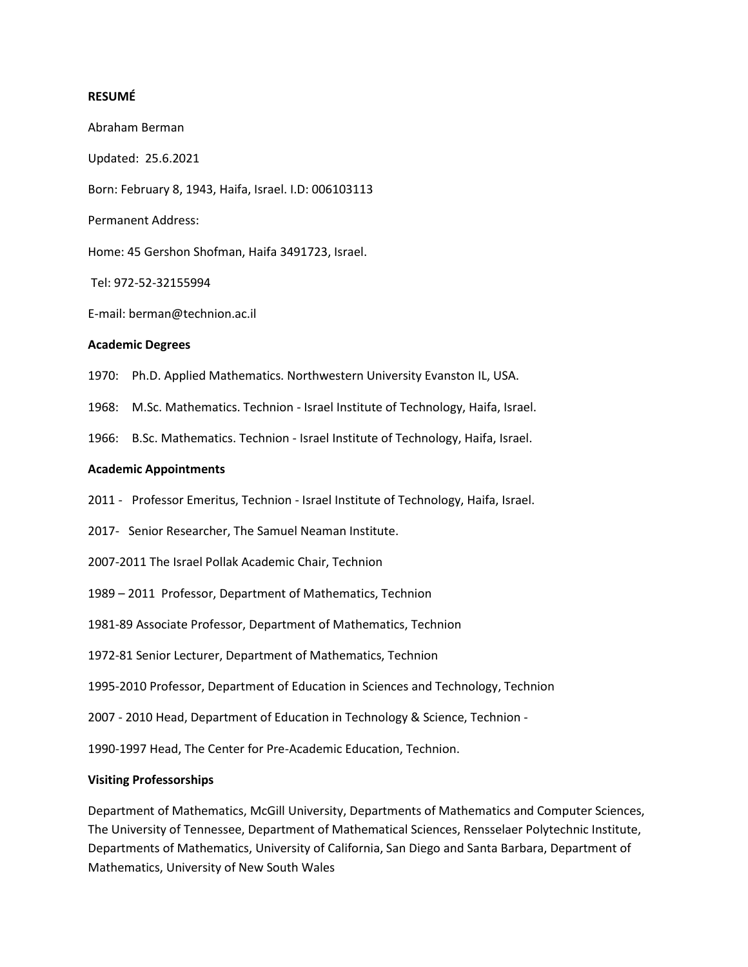### **RESUMÉ**

Abraham Berman Updated: 25.6.2021 Born: February 8, 1943, Haifa, Israel. I.D: 006103113 Permanent Address: Home: 45 Gershon Shofman, Haifa 3491723, Israel. Tel: 972-52-32155994 E-mail: berman@technion.ac.il

### **Academic Degrees**

- 1970: Ph.D. Applied Mathematics. Northwestern University Evanston IL, USA.
- 1968: M.Sc. Mathematics. Technion Israel Institute of Technology, Haifa, Israel.
- 1966: B.Sc. Mathematics. Technion Israel Institute of Technology, Haifa, Israel.

### **Academic Appointments**

- 2011 Professor Emeritus, Technion Israel Institute of Technology, Haifa, Israel.
- 2017- Senior Researcher, The Samuel Neaman Institute.
- 2007-2011 The Israel Pollak Academic Chair, Technion
- 1989 2011 Professor, Department of Mathematics, Technion
- 1981-89 Associate Professor, Department of Mathematics, Technion
- 1972-81 Senior Lecturer, Department of Mathematics, Technion
- 1995-2010 Professor, Department of Education in Sciences and Technology, Technion
- 2007 2010 Head, Department of Education in Technology & Science, Technion -
- 1990-1997 Head, The Center for Pre-Academic Education, Technion.

### **Visiting Professorships**

Department of Mathematics, McGill University, Departments of Mathematics and Computer Sciences, The University of Tennessee, Department of Mathematical Sciences, Rensselaer Polytechnic Institute, Departments of Mathematics, University of California, San Diego and Santa Barbara, Department of Mathematics, University of New South Wales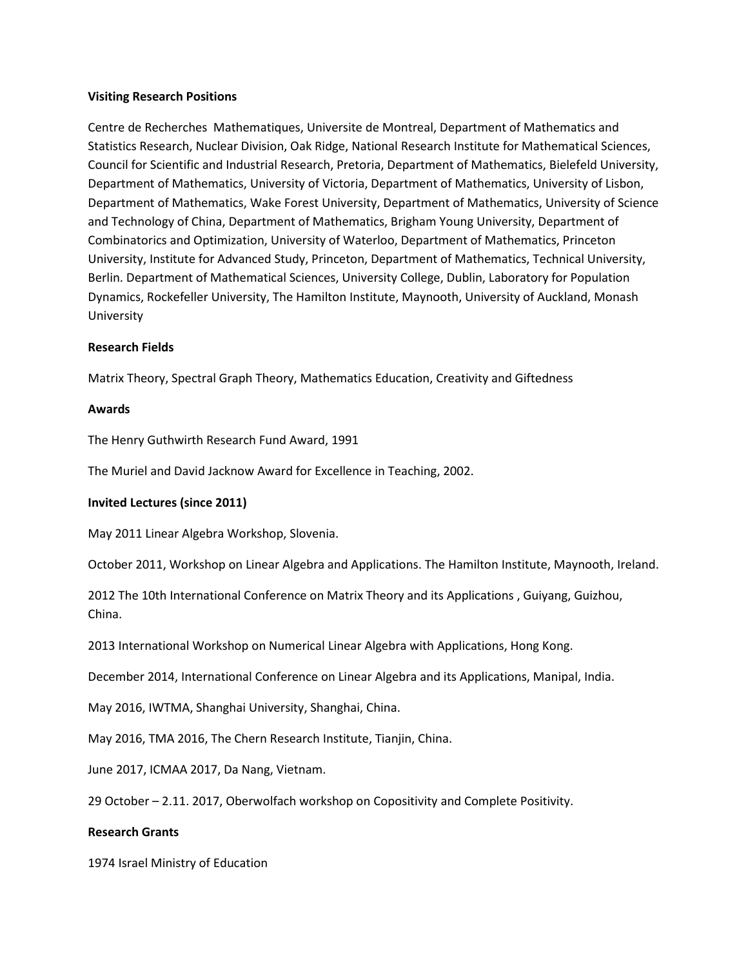### **Visiting Research Positions**

Centre de Recherches Mathematiques, Universite de Montreal, Department of Mathematics and Statistics Research, Nuclear Division, Oak Ridge, National Research Institute for Mathematical Sciences, Council for Scientific and Industrial Research, Pretoria, Department of Mathematics, Bielefeld University, Department of Mathematics, University of Victoria, Department of Mathematics, University of Lisbon, Department of Mathematics, Wake Forest University, Department of Mathematics, University of Science and Technology of China, Department of Mathematics, Brigham Young University, Department of Combinatorics and Optimization, University of Waterloo, Department of Mathematics, Princeton University, Institute for Advanced Study, Princeton, Department of Mathematics, Technical University, Berlin. Department of Mathematical Sciences, University College, Dublin, Laboratory for Population Dynamics, Rockefeller University, The Hamilton Institute, Maynooth, University of Auckland, Monash University

## **Research Fields**

Matrix Theory, Spectral Graph Theory, Mathematics Education, Creativity and Giftedness

## **Awards**

The Henry Guthwirth Research Fund Award, 1991

The Muriel and David Jacknow Award for Excellence in Teaching, 2002.

# **Invited Lectures (since 2011)**

May 2011 Linear Algebra Workshop, Slovenia.

October 2011, Workshop on Linear Algebra and Applications. The Hamilton Institute, Maynooth, Ireland.

2012 The 10th International Conference on Matrix Theory and its Applications , Guiyang, Guizhou, China.

2013 International Workshop on Numerical Linear Algebra with Applications, Hong Kong.

December 2014, International Conference on Linear Algebra and its Applications, Manipal, India.

May 2016, IWTMA, Shanghai University, Shanghai, China.

May 2016, TMA 2016, The Chern Research Institute, Tianjin, China.

June 2017, ICMAA 2017, Da Nang, Vietnam.

29 October – 2.11. 2017, Oberwolfach workshop on Copositivity and Complete Positivity.

### **Research Grants**

1974 Israel Ministry of Education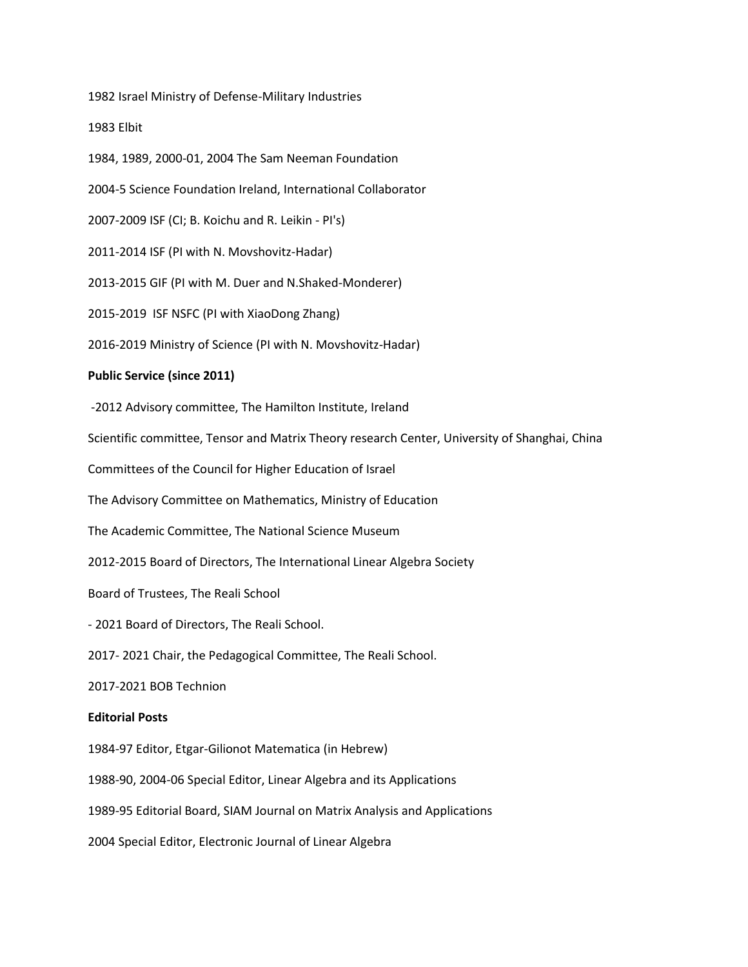1982 Israel Ministry of Defense-Military Industries

1983 Elbit

1984, 1989, 2000-01, 2004 The Sam Neeman Foundation

2004-5 Science Foundation Ireland, International Collaborator

2007-2009 ISF (CI; B. Koichu and R. Leikin - PI's)

2011-2014 ISF (PI with N. Movshovitz-Hadar)

2013-2015 GIF (PI with M. Duer and N.Shaked-Monderer)

2015-2019 ISF NSFC (PI with XiaoDong Zhang)

2016-2019 Ministry of Science (PI with N. Movshovitz-Hadar)

### **Public Service (since 2011)**

-2012 Advisory committee, The Hamilton Institute, Ireland

Scientific committee, Tensor and Matrix Theory research Center, University of Shanghai, China

Committees of the Council for Higher Education of Israel

The Advisory Committee on Mathematics, Ministry of Education

The Academic Committee, The National Science Museum

2012-2015 Board of Directors, The International Linear Algebra Society

Board of Trustees, The Reali School

- 2021 Board of Directors, The Reali School.

2017- 2021 Chair, the Pedagogical Committee, The Reali School.

2017-2021 BOB Technion

### **Editorial Posts**

1984-97 Editor, Etgar-Gilionot Matematica (in Hebrew)

1988-90, 2004-06 Special Editor, Linear Algebra and its Applications

1989-95 Editorial Board, SIAM Journal on Matrix Analysis and Applications

2004 Special Editor, Electronic Journal of Linear Algebra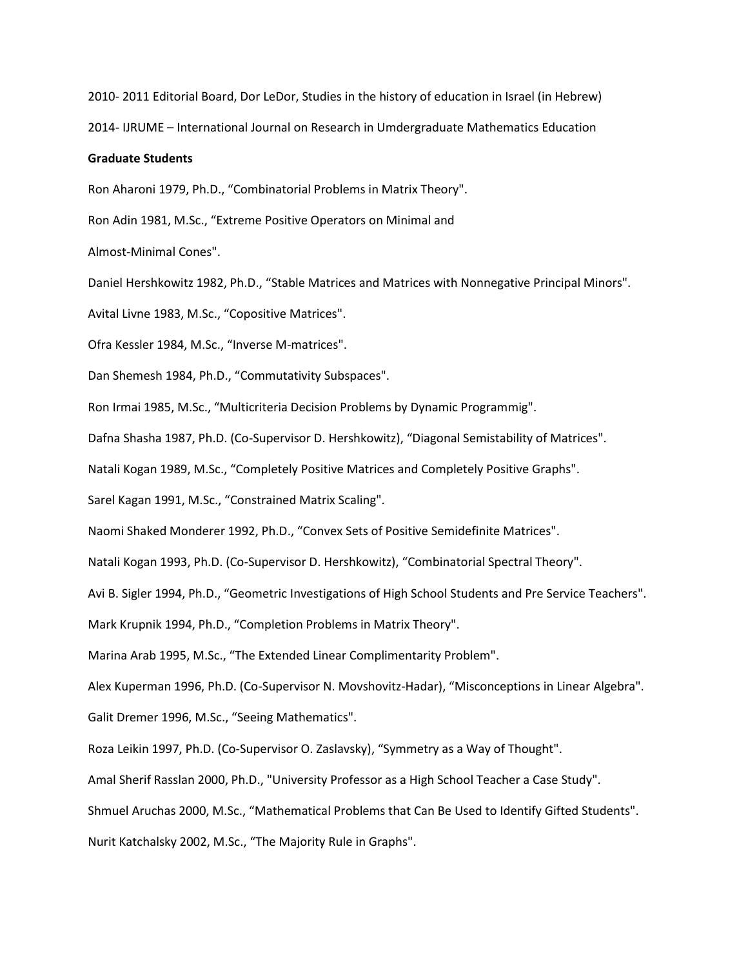2010- 2011 Editorial Board, Dor LeDor, Studies in the history of education in Israel (in Hebrew)

2014- IJRUME – International Journal on Research in Umdergraduate Mathematics Education

#### **Graduate Students**

Ron Aharoni 1979, Ph.D., "Combinatorial Problems in Matrix Theory".

Ron Adin 1981, M.Sc., "Extreme Positive Operators on Minimal and

Almost-Minimal Cones".

Daniel Hershkowitz 1982, Ph.D., "Stable Matrices and Matrices with Nonnegative Principal Minors".

Avital Livne 1983, M.Sc., "Copositive Matrices".

Ofra Kessler 1984, M.Sc., "Inverse M-matrices".

Dan Shemesh 1984, Ph.D., "Commutativity Subspaces".

Ron Irmai 1985, M.Sc., "Multicriteria Decision Problems by Dynamic Programmig".

Dafna Shasha 1987, Ph.D. (Co-Supervisor D. Hershkowitz), "Diagonal Semistability of Matrices".

Natali Kogan 1989, M.Sc., "Completely Positive Matrices and Completely Positive Graphs".

Sarel Kagan 1991, M.Sc., "Constrained Matrix Scaling".

Naomi Shaked Monderer 1992, Ph.D., "Convex Sets of Positive Semidefinite Matrices".

Natali Kogan 1993, Ph.D. (Co-Supervisor D. Hershkowitz), "Combinatorial Spectral Theory".

Avi B. Sigler 1994, Ph.D., "Geometric Investigations of High School Students and Pre Service Teachers".

Mark Krupnik 1994, Ph.D., "Completion Problems in Matrix Theory".

Marina Arab 1995, M.Sc., "The Extended Linear Complimentarity Problem".

Alex Kuperman 1996, Ph.D. (Co-Supervisor N. Movshovitz-Hadar), "Misconceptions in Linear Algebra".

Galit Dremer 1996, M.Sc., "Seeing Mathematics".

Roza Leikin 1997, Ph.D. (Co-Supervisor O. Zaslavsky), "Symmetry as a Way of Thought".

Amal Sherif Rasslan 2000, Ph.D., "University Professor as a High School Teacher a Case Study".

Shmuel Aruchas 2000, M.Sc., "Mathematical Problems that Can Be Used to Identify Gifted Students".

Nurit Katchalsky 2002, M.Sc., "The Majority Rule in Graphs".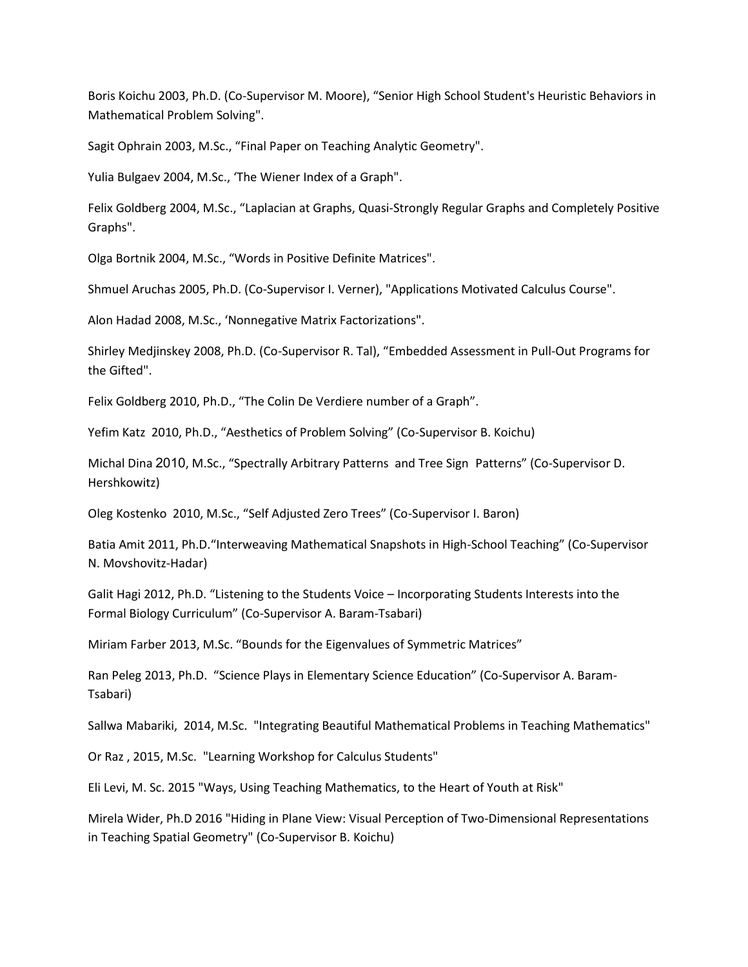Boris Koichu 2003, Ph.D. (Co-Supervisor M. Moore), "Senior High School Student's Heuristic Behaviors in Mathematical Problem Solving".

Sagit Ophrain 2003, M.Sc., "Final Paper on Teaching Analytic Geometry".

Yulia Bulgaev 2004, M.Sc., 'The Wiener Index of a Graph".

Felix Goldberg 2004, M.Sc., "Laplacian at Graphs, Quasi-Strongly Regular Graphs and Completely Positive Graphs".

Olga Bortnik 2004, M.Sc., "Words in Positive Definite Matrices".

Shmuel Aruchas 2005, Ph.D. (Co-Supervisor I. Verner), "Applications Motivated Calculus Course".

Alon Hadad 2008, M.Sc., 'Nonnegative Matrix Factorizations".

Shirley Medjinskey 2008, Ph.D. (Co-Supervisor R. Tal), "Embedded Assessment in Pull-Out Programs for the Gifted".

Felix Goldberg 2010, Ph.D., "The Colin De Verdiere number of a Graph".

Yefim Katz 2010, Ph.D., "Aesthetics of Problem Solving" (Co-Supervisor B. Koichu)

Michal Dina 2010, M.Sc., "Spectrally Arbitrary Patterns and Tree Sign Patterns" (Co-Supervisor D. Hershkowitz)

Oleg Kostenko 2010, M.Sc., "Self Adjusted Zero Trees" (Co-Supervisor I. Baron)

Batia Amit 2011, Ph.D."Interweaving Mathematical Snapshots in High-School Teaching" (Co-Supervisor N. Movshovitz-Hadar)

Galit Hagi 2012, Ph.D. "Listening to the Students Voice – Incorporating Students Interests into the Formal Biology Curriculum" (Co-Supervisor A. Baram-Tsabari)

Miriam Farber 2013, M.Sc. "Bounds for the Eigenvalues of Symmetric Matrices"

Ran Peleg 2013, Ph.D. "Science Plays in Elementary Science Education" (Co-Supervisor A. Baram-Tsabari)

Sallwa Mabariki, 2014, M.Sc. "Integrating Beautiful Mathematical Problems in Teaching Mathematics"

Or Raz , 2015, M.Sc. "Learning Workshop for Calculus Students"

Eli Levi, M. Sc. 2015 "Ways, Using Teaching Mathematics, to the Heart of Youth at Risk"

Mirela Wider, Ph.D 2016 "Hiding in Plane View: Visual Perception of Two-Dimensional Representations in Teaching Spatial Geometry" (Co-Supervisor B. Koichu)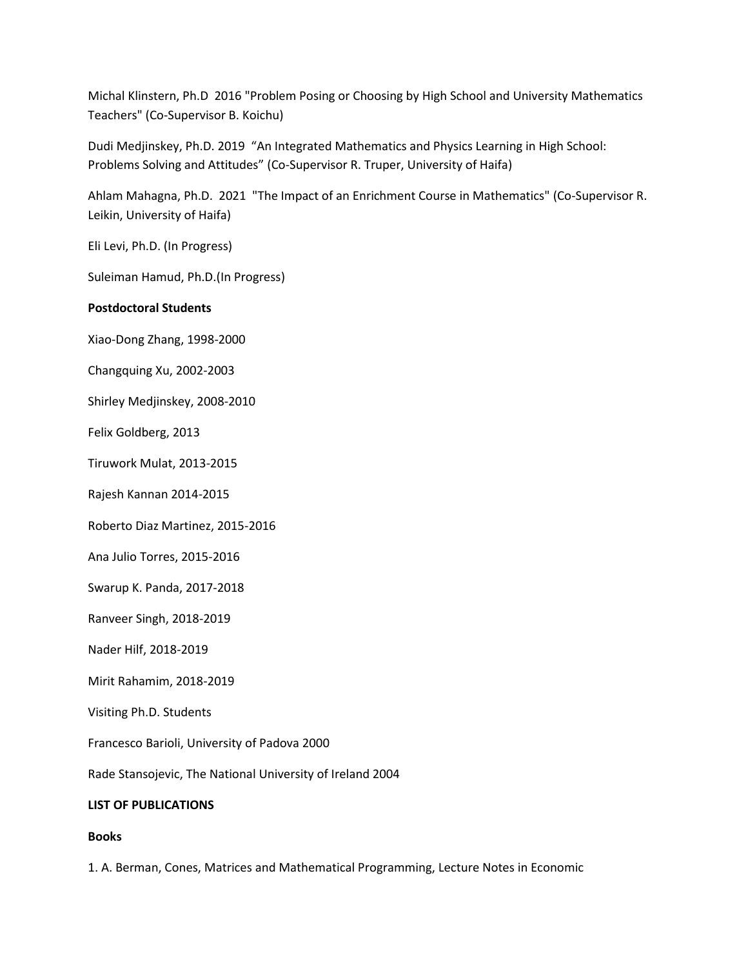Michal Klinstern, Ph.D 2016 "Problem Posing or Choosing by High School and University Mathematics Teachers" (Co-Supervisor B. Koichu)

Dudi Medjinskey, Ph.D. 2019 "An Integrated Mathematics and Physics Learning in High School: Problems Solving and Attitudes" (Co-Supervisor R. Truper, University of Haifa)

Ahlam Mahagna, Ph.D. 2021 "The Impact of an Enrichment Course in Mathematics" (Co-Supervisor R. Leikin, University of Haifa)

Eli Levi, Ph.D. (In Progress)

Suleiman Hamud, Ph.D.(In Progress)

## **Postdoctoral Students**

Xiao-Dong Zhang, 1998-2000

Changquing Xu, 2002-2003

Shirley Medjinskey, 2008-2010

Felix Goldberg, 2013

Tiruwork Mulat, 2013-2015

Rajesh Kannan 2014-2015

Roberto Diaz Martinez, 2015-2016

Ana Julio Torres, 2015-2016

Swarup K. Panda, 2017-2018

Ranveer Singh, 2018-2019

Nader Hilf, 2018-2019

Mirit Rahamim, 2018-2019

Visiting Ph.D. Students

Francesco Barioli, University of Padova 2000

Rade Stansojevic, The National University of Ireland 2004

# **LIST OF PUBLICATIONS**

### **Books**

1. A. Berman, Cones, Matrices and Mathematical Programming, Lecture Notes in Economic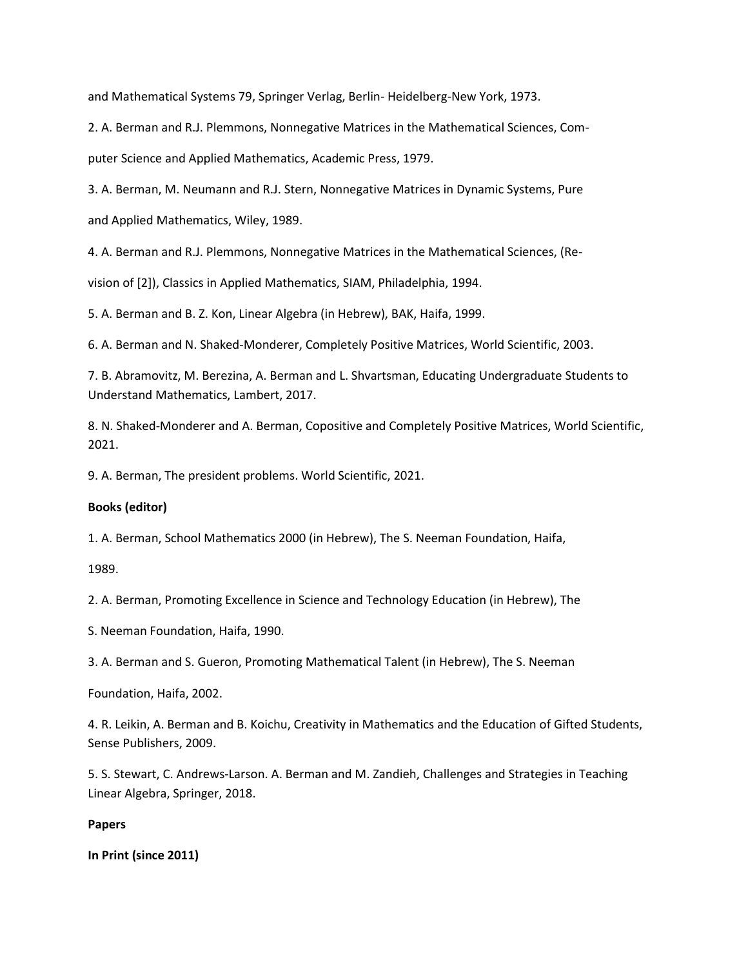and Mathematical Systems 79, Springer Verlag, Berlin- Heidelberg-New York, 1973.

2. A. Berman and R.J. Plemmons, Nonnegative Matrices in the Mathematical Sciences, Computer Science and Applied Mathematics, Academic Press, 1979.

3. A. Berman, M. Neumann and R.J. Stern, Nonnegative Matrices in Dynamic Systems, Pure and Applied Mathematics, Wiley, 1989.

4. A. Berman and R.J. Plemmons, Nonnegative Matrices in the Mathematical Sciences, (Re-

vision of [2]), Classics in Applied Mathematics, SIAM, Philadelphia, 1994.

5. A. Berman and B. Z. Kon, Linear Algebra (in Hebrew), BAK, Haifa, 1999.

6. A. Berman and N. Shaked-Monderer, Completely Positive Matrices, World Scientific, 2003.

7. B. Abramovitz, M. Berezina, A. Berman and L. Shvartsman, Educating Undergraduate Students to Understand Mathematics, Lambert, 2017.

8. N. Shaked-Monderer and A. Berman, Copositive and Completely Positive Matrices, World Scientific, 2021.

9. A. Berman, The president problems. World Scientific, 2021.

# **Books (editor)**

1. A. Berman, School Mathematics 2000 (in Hebrew), The S. Neeman Foundation, Haifa,

1989.

2. A. Berman, Promoting Excellence in Science and Technology Education (in Hebrew), The

S. Neeman Foundation, Haifa, 1990.

3. A. Berman and S. Gueron, Promoting Mathematical Talent (in Hebrew), The S. Neeman

Foundation, Haifa, 2002.

4. R. Leikin, A. Berman and B. Koichu, Creativity in Mathematics and the Education of Gifted Students, Sense Publishers, 2009.

5. S. Stewart, C. Andrews-Larson. A. Berman and M. Zandieh, Challenges and Strategies in Teaching Linear Algebra, Springer, 2018.

### **Papers**

**In Print (since 2011)**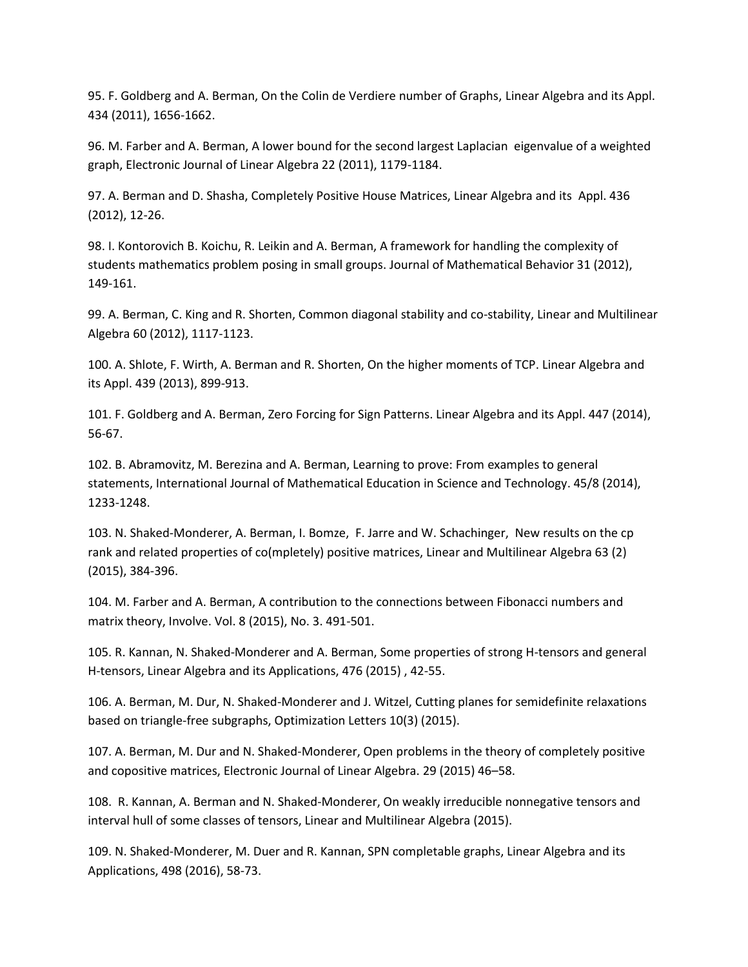95. F. Goldberg and A. Berman, On the Colin de Verdiere number of Graphs, Linear Algebra and its Appl. 434 (2011), 1656-1662.

96. M. Farber and A. Berman, A lower bound for the second largest Laplacian eigenvalue of a weighted graph, Electronic Journal of Linear Algebra 22 (2011), 1179-1184.

97. A. Berman and D. Shasha, Completely Positive House Matrices, Linear Algebra and its Appl. 436 (2012), 12-26.

98. I. Kontorovich B. Koichu, R. Leikin and A. Berman, A framework for handling the complexity of students mathematics problem posing in small groups. Journal of Mathematical Behavior 31 (2012), 149-161.

99. A. Berman, C. King and R. Shorten, Common diagonal stability and co-stability, Linear and Multilinear Algebra 60 (2012), 1117-1123.

100. A. Shlote, F. Wirth, A. Berman and R. Shorten, On the higher moments of TCP. Linear Algebra and its Appl. 439 (2013), 899-913.

101. F. Goldberg and A. Berman, Zero Forcing for Sign Patterns. Linear Algebra and its Appl. 447 (2014), 56-67.

102. B. Abramovitz, M. Berezina and A. Berman, Learning to prove: From examples to general statements, International Journal of Mathematical Education in Science and Technology. 45/8 (2014), 1233-1248.

103. N. Shaked-Monderer, A. Berman, I. Bomze, F. Jarre and W. Schachinger, New results on the cp rank and related properties of co(mpletely) positive matrices, Linear and Multilinear Algebra 63 (2) (2015), 384-396.

104. M. Farber and A. Berman, A contribution to the connections between Fibonacci numbers and matrix theory, Involve. Vol. 8 (2015), No. 3. 491-501.

105. R. Kannan, N. Shaked-Monderer and A. Berman, Some properties of strong H-tensors and general H-tensors, Linear Algebra and its Applications, 476 (2015) , 42-55.

106. A. Berman, M. Dur, N. Shaked-Monderer and J. Witzel, Cutting planes for semidefinite relaxations based on triangle-free subgraphs, Optimization Letters 10(3) (2015).

107. A. Berman, M. Dur and N. Shaked-Monderer, Open problems in the theory of completely positive and copositive matrices, Electronic Journal of Linear Algebra. 29 (2015) 46–58.

108. R. Kannan, A. Berman and N. Shaked-Monderer, On weakly irreducible nonnegative tensors and interval hull of some classes of tensors, Linear and Multilinear Algebra (2015).

109. N. Shaked-Monderer, M. Duer and R. Kannan, SPN completable graphs, Linear Algebra and its Applications, 498 (2016), 58-73.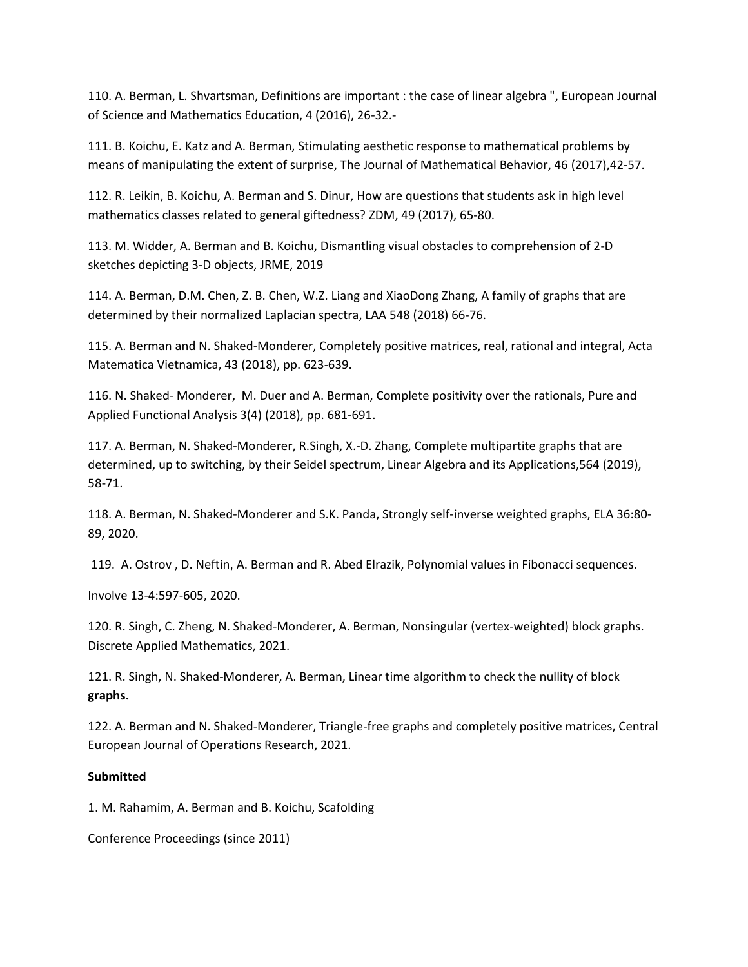110. A. Berman, L. Shvartsman, Definitions are important : the case of linear algebra ", European Journal of Science and Mathematics Education, 4 (2016), 26-32.-

111. B. Koichu, E. Katz and A. Berman, Stimulating aesthetic response to mathematical problems by means of manipulating the extent of surprise, The Journal of Mathematical Behavior, 46 (2017),42-57.

112. R. Leikin, B. Koichu, A. Berman and S. Dinur, How are questions that students ask in high level mathematics classes related to general giftedness? ZDM, 49 (2017), 65-80.

113. M. Widder, A. Berman and B. Koichu, Dismantling visual obstacles to comprehension of 2-D sketches depicting 3-D objects, JRME, 2019

114. A. Berman, D.M. Chen, Z. B. Chen, W.Z. Liang and XiaoDong Zhang, A family of graphs that are determined by their normalized Laplacian spectra, LAA 548 (2018) 66-76.

115. A. Berman and N. Shaked-Monderer, Completely positive matrices, real, rational and integral, Acta Matematica Vietnamica, 43 (2018), pp. 623-639.

116. N. Shaked- Monderer, M. Duer and A. Berman, Complete positivity over the rationals, Pure and Applied Functional Analysis 3(4) (2018), pp. 681-691.

117. A. Berman, N. Shaked-Monderer, R.Singh, X.-D. Zhang, Complete multipartite graphs that are determined, up to switching, by their Seidel spectrum, Linear Algebra and its Applications,564 (2019), 58-71.

118. A. Berman, N. Shaked-Monderer and S.K. Panda, Strongly self-inverse weighted graphs, ELA 36:80- 89, 2020.

119. A. Ostrov , D. Neftin, A. Berman and R. Abed Elrazik, Polynomial values in Fibonacci sequences.

Involve 13-4:597-605, 2020.

120. R. Singh, C. Zheng, N. Shaked-Monderer, A. Berman, Nonsingular (vertex-weighted) block graphs. Discrete Applied Mathematics, 2021.

121. R. Singh, N. Shaked-Monderer, A. Berman, Linear time algorithm to check the nullity of block **graphs.**

122. A. Berman and N. Shaked-Monderer, Triangle-free graphs and completely positive matrices, Central European Journal of Operations Research, 2021.

### **Submitted**

1. M. Rahamim, A. Berman and B. Koichu, Scafolding

Conference Proceedings (since 2011)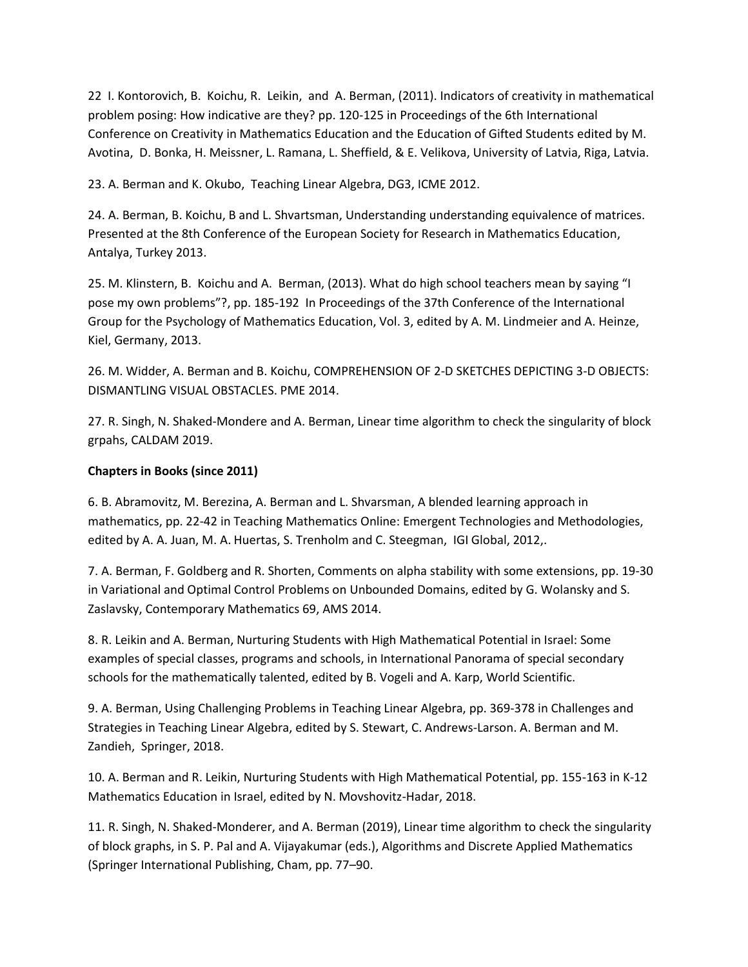22 I. Kontorovich, B. Koichu, R. Leikin, and A. Berman, (2011). Indicators of creativity in mathematical problem posing: How indicative are they? pp. 120-125 in Proceedings of the 6th International Conference on Creativity in Mathematics Education and the Education of Gifted Students edited by M. Avotina, D. Bonka, H. Meissner, L. Ramana, L. Sheffield, & E. Velikova, University of Latvia, Riga, Latvia.

23. A. Berman and K. Okubo, Teaching Linear Algebra, DG3, ICME 2012.

24. A. Berman, B. Koichu, B and L. Shvartsman, Understanding understanding equivalence of matrices. Presented at the 8th Conference of the European Society for Research in Mathematics Education, Antalya, Turkey 2013.

25. M. Klinstern, B. Koichu and A. Berman, (2013). What do high school teachers mean by saying "I pose my own problems"?, pp. 185-192 In Proceedings of the 37th Conference of the International Group for the Psychology of Mathematics Education, Vol. 3, edited by A. M. Lindmeier and A. Heinze, Kiel, Germany, 2013.

26. M. Widder, A. Berman and B. Koichu, COMPREHENSION OF 2-D SKETCHES DEPICTING 3-D OBJECTS: DISMANTLING VISUAL OBSTACLES. PME 2014.

27. R. Singh, N. Shaked-Mondere and A. Berman, Linear time algorithm to check the singularity of block grpahs, CALDAM 2019.

# **Chapters in Books (since 2011)**

6. B. Abramovitz, M. Berezina, A. Berman and L. Shvarsman, A blended learning approach in mathematics, pp. 22-42 in Teaching Mathematics Online: Emergent Technologies and Methodologies, edited by A. A. Juan, M. A. Huertas, S. Trenholm and C. Steegman, IGI Global, 2012,.

7. A. Berman, F. Goldberg and R. Shorten, Comments on alpha stability with some extensions, pp. 19-30 in Variational and Optimal Control Problems on Unbounded Domains, edited by G. Wolansky and S. Zaslavsky, Contemporary Mathematics 69, AMS 2014.

8. R. Leikin and A. Berman, Nurturing Students with High Mathematical Potential in Israel: Some examples of special classes, programs and schools, in International Panorama of special secondary schools for the mathematically talented, edited by B. Vogeli and A. Karp, World Scientific.

9. A. Berman, Using Challenging Problems in Teaching Linear Algebra, pp. 369-378 in Challenges and Strategies in Teaching Linear Algebra, edited by S. Stewart, C. Andrews-Larson. A. Berman and M. Zandieh, Springer, 2018.

10. A. Berman and R. Leikin, Nurturing Students with High Mathematical Potential, pp. 155-163 in K-12 Mathematics Education in Israel, edited by N. Movshovitz-Hadar, 2018.

11. R. Singh, N. Shaked-Monderer, and A. Berman (2019), Linear time algorithm to check the singularity of block graphs, in S. P. Pal and A. Vijayakumar (eds.), Algorithms and Discrete Applied Mathematics (Springer International Publishing, Cham, pp. 77–90.